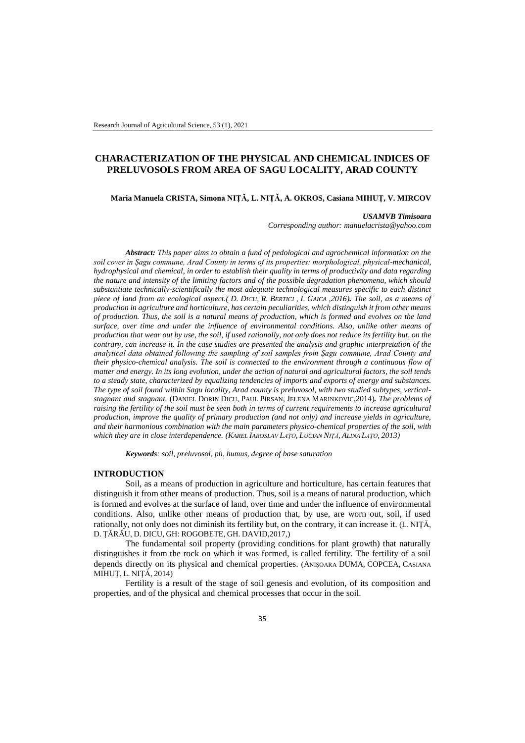# **CHARACTERIZATION OF THE PHYSICAL AND CHEMICAL INDICES OF PRELUVOSOLS FROM AREA OF SAGU LOCALITY, ARAD COUNTY**

**Maria Manuela CRISTA, Simona NIȚĂ, L. NIȚĂ, A. OKROS, Casiana MIHUȚ, V. MIRCOV**

#### *USAMVB Timisoara*

*Corresponding author: manuelacrista@yahoo.com*

*Abstract: This paper aims to obtain a fund of pedological and agrochemical information on the soil cover in Șagu commune, Arad County in terms of its properties: morphological, physical-mechanical, hydrophysical and chemical, in order to establish their quality in terms of productivity and data regarding the nature and intensity of the limiting factors and of the possible degradation phenomena, which should substantiate technically-scientifically the most adequate technological measures specific to each distinct piece of land from an ecological aspect.( D. DICU, R. BERTICI , I. GAICA ,2016). The soil, as a means of production in agriculture and horticulture, has certain peculiarities, which distinguish it from other means of production. Thus, the soil is a natural means of production, which is formed and evolves on the land surface, over time and under the influence of environmental conditions. Also, unlike other means of production that wear out by use, the soil, if used rationally, not only does not reduce its fertility but, on the contrary, can increase it. In the case studies are presented the analysis and graphic interpretation of the analytical data obtained following the sampling of soil samples from Șagu commune, Arad County and their physico-chemical analysis. The soil is connected to the environment through a continuous flow of matter and energy. In its long evolution, under the action of natural and agricultural factors, the soil tends to a steady state, characterized by equalizing tendencies of imports and exports of energy and substances. The type of soil found within Sagu locality, Arad county is preluvosol, with two studied subtypes, verticalstagnant and stagnant.* (DANIEL DORIN DICU, PAUL PÎRSAN, JELENA MARINKOVIC,2014)*. The problems of raising the fertility of the soil must be seen both in terms of current requirements to increase agricultural production, improve the quality of primary production (and not only) and increase yields in agriculture, and their harmonious combination with the main parameters physico-chemical properties of the soil, with*  which they are in close interdependence. (KAREL IAROSLAV LATO, LUCIAN NITĂ, ALINA LATO, 2013)

*Keywords: soil, preluvosol, ph, humus, degree of base saturation*

#### **INTRODUCTION**

Soil, as a means of production in agriculture and horticulture, has certain features that distinguish it from other means of production. Thus, soil is a means of natural production, which is formed and evolves at the surface of land, over time and under the influence of environmental conditions. Also, unlike other means of production that, by use, are worn out, soil, if used rationally, not only does not diminish its fertility but, on the contrary, it can increase it. (L. NIŢĂ, D. ŢĂRĂU, D. DICU, GH: ROGOBETE, GH. DAVID,2017,)

The fundamental soil property (providing conditions for plant growth) that naturally distinguishes it from the rock on which it was formed, is called fertility. The fertility of a soil depends directly on its physical and chemical properties. (ANIŞOARA DUMA, COPCEA, CASIANA MIHUŢ, L. NIŢĂ, 2014)

Fertility is a result of the stage of soil genesis and evolution, of its composition and properties, and of the physical and chemical processes that occur in the soil.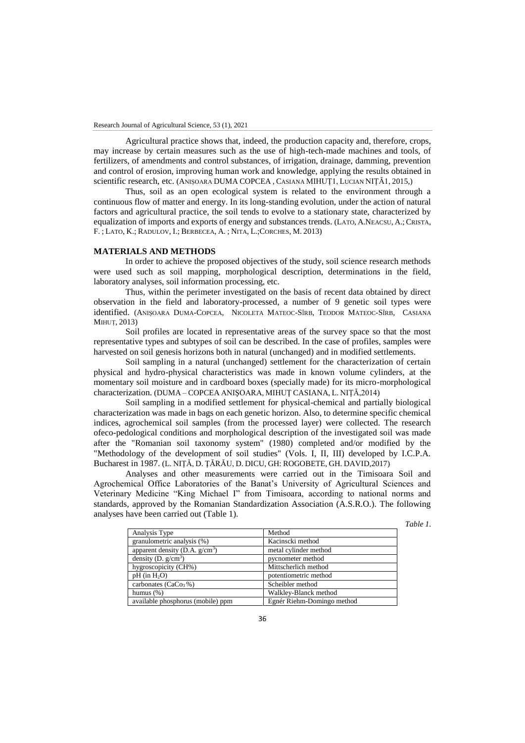Agricultural practice shows that, indeed, the production capacity and, therefore, crops, may increase by certain measures such as the use of high-tech-made machines and tools, of fertilizers, of amendments and control substances, of irrigation, drainage, damming, prevention and control of erosion, improving human work and knowledge, applying the results obtained in scientific research, etc. (ANISOARA DUMA COPCEA, CASIANA MIHUT1, LUCIAN NITĂ1, 2015.)

Thus, soil as an open ecological system is related to the environment through a continuous flow of matter and energy. In its long-standing evolution, under the action of natural factors and agricultural practice, the soil tends to evolve to a stationary state, characterized by equalization of imports and exports of energy and substances trends. (LATO, A.NEACSU, A.; CRISTA, F. ; LATO, K.; RADULOV, I.; BERBECEA, A. ; NITA, L.;CORCHES, M. 2013)

#### **MATERIALS AND METHODS**

In order to achieve the proposed objectives of the study, soil science research methods were used such as soil mapping, morphological description, determinations in the field, laboratory analyses, soil information processing, etc.

Thus, within the perimeter investigated on the basis of recent data obtained by direct observation in the field and laboratory-processed, a number of 9 genetic soil types were identified. (ANIȘOARA DUMA-COPCEA, NICOLETA MATEOC-SÎRB, TEODOR MATEOC-SÎRB, CASIANA MIHUȚ, 2013)

Soil profiles are located in representative areas of the survey space so that the most representative types and subtypes of soil can be described. In the case of profiles, samples were harvested on soil genesis horizons both in natural (unchanged) and in modified settlements.

Soil sampling in a natural (unchanged) settlement for the characterization of certain physical and hydro-physical characteristics was made in known volume cylinders, at the momentary soil moisture and in cardboard boxes (specially made) for its micro-morphological characterization. (DUMA – COPCEA ANIŞOARA, MIHUŢ CASIANA, L. NIŢĂ,2014)

Soil sampling in a modified settlement for physical-chemical and partially biological characterization was made in bags on each genetic horizon. Also, to determine specific chemical indices, agrochemical soil samples (from the processed layer) were collected. The research ofeco-pedological conditions and morphological description of the investigated soil was made after the "Romanian soil taxonomy system" (1980) completed and/or modified by the "Methodology of the development of soil studies" (Vols. I, II, III) developed by I.C.P.A. Bucharest in 1987. (L. NIŢĂ, D. ŢĂRĂU, D. DICU, GH: ROGOBETE, GH. DAVID,2017)

Analyses and other measurements were carried out in the Timisoara Soil and Agrochemical Office Laboratories of the Banat's University of Agricultural Sciences and Veterinary Medicine "King Michael I" from Timisoara, according to national norms and standards, approved by the Romanian Standardization Association (A.S.R.O.). The following analyses have been carried out (Table 1).

| Table |  |
|-------|--|
|       |  |

| Analysis Type                     | Method                     |
|-----------------------------------|----------------------------|
| granulometric analysis (%)        | Kacinscki method           |
| apparent density (D.A. $g/cm^3$ ) | metal cylinder method      |
| density (D. $g/cm^3$ )            | pycnometer method          |
| hygroscopicity (CH%)              | Mittscherlich method       |
| $pH$ (in $H_2O$ )                 | potentiometric method      |
| carbonates ( $CaCo3%$ )           | Scheibler method           |
| humus $(\%)$                      | Walkley-Blanck method      |
| available phosphorus (mobile) ppm | Egnér Riehm-Domingo method |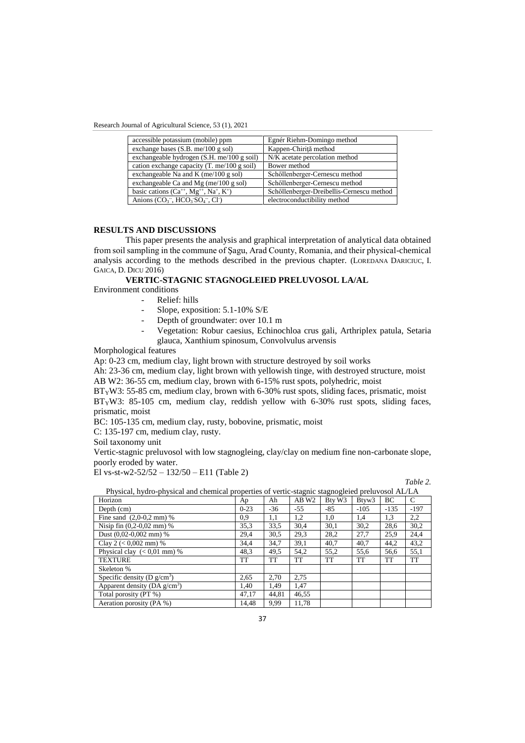| accessible potassium (mobile) ppm                          | Egnér Riehm-Domingo method                |
|------------------------------------------------------------|-------------------------------------------|
| exchange bases $(S.B. me/100 g sol)$                       | Kappen-Chiriță method                     |
| exchangeable hydrogen (S.H. me/100 g soil)                 | N/K acetate percolation method            |
| cation exchange capacity $(T \cdot me/100 g \text{ soil})$ | Bower method                              |
| exchangeable Na and K (me/100 g sol)                       | Schöllenberger-Cernescu method            |
| exchangeable Ca and Mg (me/100 g sol)                      | Schöllenberger-Cernescu method            |
| basic cations $(Ca^{++}, Mg^{++}, Na^+, K^+)$              | Schöllenberger-Dreibellis-Cernescu method |
| Anions $(CO_3^-$ , $HCO_3SO_4^-$ , $Cl^2$                  | electroconductibility method              |

### **RESULTS AND DISCUSSIONS**

This paper presents the analysis and graphical interpretation of analytical data obtained from soil sampling in the commune of Şagu, Arad County, Romania, and their physical-chemical analysis according to the methods described in the previous chapter. (LOREDANA DARICIUC, I. GAICA, D. DICU 2016)

**VERTIC-STAGNIC STAGNOGLEIED PRELUVOSOL LA/AL**

Environment conditions

- Relief: hills
- Slope, exposition: 5.1-10% S/E
- Depth of groundwater: over 10.1 m
- Vegetation: Robur caesius, Echinochloa crus gali, Arthriplex patula, Setaria glauca, Xanthium spinosum, Convolvulus arvensis

Morphological features

Ap: 0-23 cm, medium clay, light brown with structure destroyed by soil works

Ah: 23-36 cm, medium clay, light brown with yellowish tinge, with destroyed structure, moist AB W2: 36-55 cm, medium clay, brown with 6-15% rust spots, polyhedric, moist

 $BT<sub>X</sub>W3: 55-85$  cm, medium clay, brown with 6-30% rust spots, sliding faces, prismatic, moist BTYW3: 85-105 cm, medium clay, reddish yellow with 6-30% rust spots, sliding faces, prismatic, moist

BC: 105-135 cm, medium clay, rusty, bobovine, prismatic, moist

C: 135-197 cm, medium clay, rusty.

Soil taxonomy unit

Vertic-stagnic preluvosol with low stagnogleing, clay/clay on medium fine non-carbonate slope, poorly eroded by water.

El vs-st-w2-52/52 –  $132/50 - E11$  (Table 2)

*Table 2.* 

| Physical, hydro-physical and chemical properties of vertic-stagnic stagnogleied preluvosol AL/LA |          |       |                   |        |                   |           |        |  |  |
|--------------------------------------------------------------------------------------------------|----------|-------|-------------------|--------|-------------------|-----------|--------|--|--|
| Horizon                                                                                          | Ap       | Ah    | AB W <sub>2</sub> | Btv W3 | Btvw <sub>3</sub> | BC        | C      |  |  |
| Depth (cm)                                                                                       | $0 - 23$ | $-36$ | $-55$             | $-85$  | $-105$            | $-135$    | $-197$ |  |  |
| Fine sand $(2,0-0,2 \text{ mm})$ %                                                               | 0,9      | 1,1   | 1,2               | 1,0    | 1,4               | 1,3       | 2,2    |  |  |
| Nisip fin $(0,2-0,02 \text{ mm})$ %                                                              | 35.3     | 33,5  | 30.4              | 30,1   | 30,2              | 28,6      | 30,2   |  |  |
| Dust $(0.02-0.002$ mm $)$ %                                                                      | 29.4     | 30.5  | 29.3              | 28,2   | 27.7              | 25,9      | 24,4   |  |  |
| Clay 2 ( $< 0,002$ mm) %                                                                         | 34,4     | 34.7  | 39,1              | 40.7   | 40.7              | 44.2      | 43,2   |  |  |
| Physical clay $(< 0.01$ mm) %                                                                    | 48.3     | 49.5  | 54.2              | 55.2   | 55.6              | 56.6      | 55,1   |  |  |
| <b>TEXTURE</b>                                                                                   | TT       | TT    | <b>TT</b>         | TT     | <b>TT</b>         | <b>TT</b> | TT     |  |  |
| Skeleton %                                                                                       |          |       |                   |        |                   |           |        |  |  |
| Specific density (D $g/cm^3$ )                                                                   | 2.65     | 2.70  | 2.75              |        |                   |           |        |  |  |
| Apparent density ( $DA g/cm3$ )                                                                  | 1.40     | 1,49  | 1,47              |        |                   |           |        |  |  |
| Total porosity (PT %)                                                                            | 47.17    | 44.81 | 46,55             |        |                   |           |        |  |  |
| Aeration porosity (PA %)                                                                         | 14.48    | 9.99  | 11.78             |        |                   |           |        |  |  |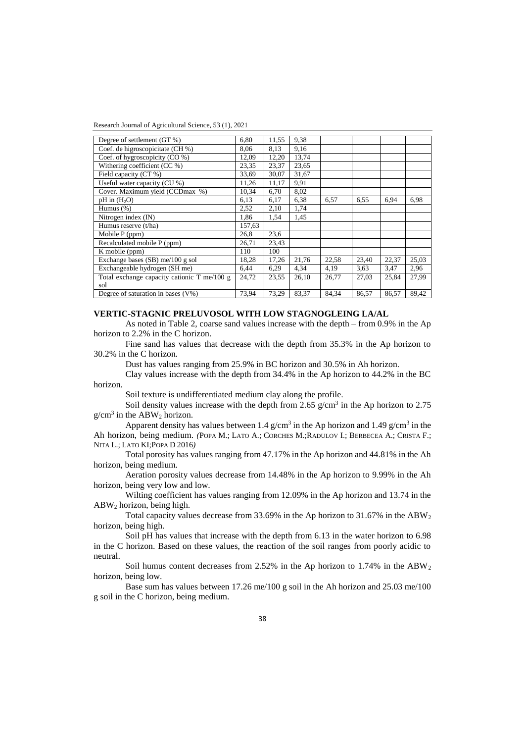| Degree of settlement (GT %)                 | 6.80   | 11,55 | 9.38  |       |       |       |       |
|---------------------------------------------|--------|-------|-------|-------|-------|-------|-------|
| Coef. de higroscopicitate (CH %)            | 8,06   | 8,13  | 9,16  |       |       |       |       |
| Coef. of hygroscopicity (CO %)              | 12,09  | 12,20 | 13,74 |       |       |       |       |
| Withering coefficient $\overline{(CC\%)}$   | 23,35  | 23,37 | 23,65 |       |       |       |       |
| Field capacity (CT %)                       | 33,69  | 30,07 | 31,67 |       |       |       |       |
| Useful water capacity (CU %)                | 11,26  | 11,17 | 9,91  |       |       |       |       |
| Cover. Maximum yield (CCDmax %)             | 10.34  | 6,70  | 8,02  |       |       |       |       |
| $pH$ in $(H2O)$                             | 6,13   | 6,17  | 6.38  | 6,57  | 6,55  | 6.94  | 6.98  |
| Humus $(\%)$                                | 2,52   | 2,10  | 1,74  |       |       |       |       |
| Nitrogen index (IN)                         | 1,86   | 1,54  | 1,45  |       |       |       |       |
| Humus reserve (t/ha)                        | 157,63 |       |       |       |       |       |       |
| Mobile $P$ (ppm)                            | 26,8   | 23,6  |       |       |       |       |       |
| Recalculated mobile P (ppm)                 | 26,71  | 23,43 |       |       |       |       |       |
| K mobile (ppm)                              | 110    | 100   |       |       |       |       |       |
| Exchange bases (SB) me/100 g sol            | 18,28  | 17,26 | 21,76 | 22,58 | 23,40 | 22,37 | 25,03 |
| Exchangeable hydrogen (SH me)               | 6,44   | 6.29  | 4,34  | 4,19  | 3.63  | 3,47  | 2,96  |
| Total exchange capacity cationic T me/100 g | 24,72  | 23,55 | 26,10 | 26,77 | 27,03 | 25,84 | 27,99 |
| sol                                         |        |       |       |       |       |       |       |
| Degree of saturation in bases $(V\%)$       | 73,94  | 73,29 | 83,37 | 84,34 | 86,57 | 86,57 | 89,42 |

# **VERTIC-STAGNIC PRELUVOSOL WITH LOW STAGNOGLEING LA/AL**

As noted in Table 2, coarse sand values increase with the depth – from 0.9% in the Ap horizon to 2.2% in the C horizon.

Fine sand has values that decrease with the depth from 35.3% in the Ap horizon to 30.2% in the C horizon.

Dust has values ranging from 25.9% in BC horizon and 30.5% in Ah horizon.

Clay values increase with the depth from 34.4% in the Ap horizon to 44.2% in the BC horizon.

Soil texture is undifferentiated medium clay along the profile.

Soil density values increase with the depth from 2.65  $g/cm<sup>3</sup>$  in the Ap horizon to 2.75  $g/cm<sup>3</sup>$  in the ABW<sub>2</sub> horizon.

Apparent density has values between 1.4  $g/cm<sup>3</sup>$  in the Ap horizon and 1.49  $g/cm<sup>3</sup>$  in the Ah horizon, being medium. *(*POPA M.; LATO A.; CORCHES M.;RADULOV I.; BERBECEA A.; CRISTA F.; NITA L.; LATO KI;POPA D 2016*)*

Total porosity has values ranging from 47.17% in the Ap horizon and 44.81% in the Ah horizon, being medium.

Aeration porosity values decrease from 14.48% in the Ap horizon to 9.99% in the Ah horizon, being very low and low.

Wilting coefficient has values ranging from 12.09% in the Ap horizon and 13.74 in the ABW<sup>2</sup> horizon, being high.

Total capacity values decrease from 33.69% in the Ap horizon to 31.67% in the  $ABW_2$ horizon, being high.

Soil pH has values that increase with the depth from 6.13 in the water horizon to 6.98 in the C horizon. Based on these values, the reaction of the soil ranges from poorly acidic to neutral.

Soil humus content decreases from 2.52% in the Ap horizon to 1.74% in the  $ABW<sub>2</sub>$ horizon, being low.

Base sum has values between 17.26 me/100 g soil in the Ah horizon and 25.03 me/100 g soil in the C horizon, being medium.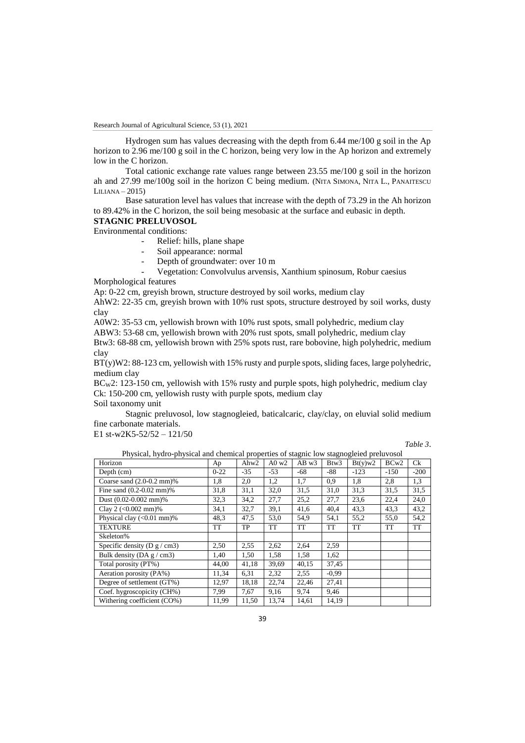Hydrogen sum has values decreasing with the depth from 6.44 me/100 g soil in the Ap horizon to 2.96 me/100 g soil in the C horizon, being very low in the Ap horizon and extremely low in the C horizon.

Total cationic exchange rate values range between 23.55 me/100 g soil in the horizon ah and 27.99 me/100g soil in the horizon C being medium. (NITA SIMONA, NITA L., PANAITESCU  $LILIANA - 2015$ 

Base saturation level has values that increase with the depth of 73.29 in the Ah horizon to 89.42% in the C horizon, the soil being mesobasic at the surface and eubasic in depth.

### **STAGNIC PRELUVOSOL**

Environmental conditions:

- Relief: hills, plane shape
- Soil appearance: normal
- Depth of groundwater: over 10 m
- Vegetation: Convolvulus arvensis, Xanthium spinosum, Robur caesius

Morphological features

Ap: 0-22 cm, greyish brown, structure destroyed by soil works, medium clay

AhW2: 22-35 cm, greyish brown with 10% rust spots, structure destroyed by soil works, dusty clay

A0W2: 35-53 cm, yellowish brown with 10% rust spots, small polyhedric, medium clay

ABW3: 53-68 cm, yellowish brown with 20% rust spots, small polyhedric, medium clay Btw3: 68-88 cm, yellowish brown with 25% spots rust, rare bobovine, high polyhedric, medium

clay

BT(y)W2: 88-123 cm, yellowish with 15% rusty and purple spots, sliding faces, large polyhedric, medium clay

BCW2: 123-150 cm, yellowish with 15% rusty and purple spots, high polyhedric, medium clay Ck: 150-200 cm, yellowish rusty with purple spots, medium clay

Soil taxonomy unit

Stagnic preluvosol, low stagnogleied, baticalcaric, clay/clay, on eluvial solid medium fine carbonate materials.

E1 st-w2K5-52/52 – 121/50

*Table 3*.

| Horizon                              | Ap     | Ahw <sub>2</sub> | A0 w2     | AB w3     | Btw3      | Bt(y)w2   | BCw <sub>2</sub> | Ck     |
|--------------------------------------|--------|------------------|-----------|-----------|-----------|-----------|------------------|--------|
| Depth (cm)                           | $0-22$ | $-35$            | $-53$     | $-68$     | $-88$     | $-123$    | $-150$           | $-200$ |
| Coarse sand $(2.0-0.2 \text{ mm})\%$ | 1,8    | 2,0              | 1,2       | 1,7       | 0,9       | 1,8       | 2,8              | 1,3    |
| Fine sand $(0.2 - 0.02$ mm $)$ %     | 31,8   | 31,1             | 32,0      | 31,5      | 31,0      | 31,3      | 31,5             | 31,5   |
| Dust $(0.02 - 0.002$ mm $)$ %        | 32,3   | 34,2             | 27,7      | 25,2      | 27,7      | 23,6      | 22,4             | 24,0   |
| Clay 2 $(<0.002$ mm $)$ %            | 34,1   | 32,7             | 39,1      | 41,6      | 40.4      | 43,3      | 43.3             | 43,2   |
| Physical clay $(<0.01$ mm $)$ %      | 48.3   | 47,5             | 53,0      | 54.9      | 54,1      | 55,2      | 55,0             | 54,2   |
| <b>TEXTURE</b>                       | TT     | TP               | <b>TT</b> | <b>TT</b> | <b>TT</b> | <b>TT</b> | <b>TT</b>        | TT     |
| Skeleton%                            |        |                  |           |           |           |           |                  |        |
| Specific density ( $D g / cm3$ )     | 2,50   | 2,55             | 2,62      | 2,64      | 2,59      |           |                  |        |
| Bulk density (DA $g$ / cm3)          | 1,40   | 1,50             | 1,58      | 1,58      | 1,62      |           |                  |        |
| Total porosity (PT%)                 | 44,00  | 41,18            | 39,69     | 40,15     | 37,45     |           |                  |        |
| Aeration porosity (PA%)              | 11,34  | 6,31             | 2,32      | 2,55      | $-0.99$   |           |                  |        |
| Degree of settlement (GT%)           | 12,97  | 18,18            | 22,74     | 22,46     | 27,41     |           |                  |        |
| Coef. hygroscopicity (CH%)           | 7,99   | 7,67             | 9,16      | 9,74      | 9,46      |           |                  |        |
| Withering coefficient (CO%)          | 11,99  | 11,50            | 13,74     | 14,61     | 14,19     |           |                  |        |

Physical, hydro-physical and chemical properties of stagnic low stagnogleied preluvosol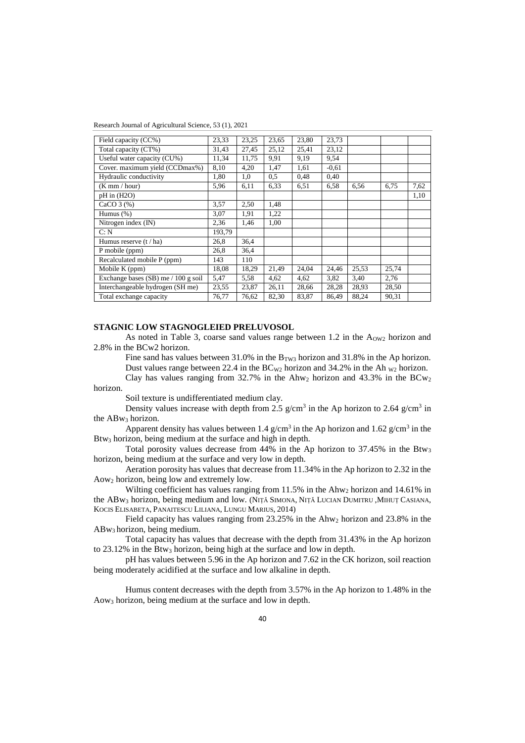Research Journal of Agricultural Science, 53 (1), 2021

| Field capacity (CC%)                  | 23,33  | 23,25 | 23,65 | 23.80 | 23,73   |       |       |      |
|---------------------------------------|--------|-------|-------|-------|---------|-------|-------|------|
| Total capacity (CT%)                  | 31.43  | 27,45 | 25,12 | 25,41 | 23,12   |       |       |      |
| Useful water capacity (CU%)           | 11,34  | 11,75 | 9.91  | 9,19  | 9.54    |       |       |      |
| Cover. maximum yield (CCDmax%)        | 8,10   | 4,20  | 1,47  | 1,61  | $-0.61$ |       |       |      |
| Hydraulic conductivity                | 1,80   | 1,0   | 0,5   | 0,48  | 0,40    |       |       |      |
| $(K \text{ mm}/\text{ hour})$         | 5,96   | 6,11  | 6.33  | 6,51  | 6.58    | 6.56  | 6.75  | 7,62 |
| $pH$ in $(H2O)$                       |        |       |       |       |         |       |       | 1,10 |
| CaCO $3$ $%$ )                        | 3,57   | 2,50  | 1,48  |       |         |       |       |      |
| Humus $(\%)$                          | 3,07   | 1,91  | 1,22  |       |         |       |       |      |
| Nitrogen index (IN)                   | 2,36   | 1,46  | 1,00  |       |         |       |       |      |
| C: N                                  | 193,79 |       |       |       |         |       |       |      |
| Humus reserve $(t / ha)$              | 26,8   | 36,4  |       |       |         |       |       |      |
| P mobile (ppm)                        | 26,8   | 36,4  |       |       |         |       |       |      |
| Recalculated mobile P (ppm)           | 143    | 110   |       |       |         |       |       |      |
| Mobile K (ppm)                        | 18,08  | 18,29 | 21,49 | 24,04 | 24,46   | 25,53 | 25,74 |      |
| Exchange bases $(SB)$ me / 100 g soil | 5,47   | 5,58  | 4,62  | 4,62  | 3,82    | 3.40  | 2,76  |      |
| Interchangeable hydrogen (SH me)      | 23,55  | 23,87 | 26,11 | 28,66 | 28,28   | 28,93 | 28,50 |      |
| Total exchange capacity               | 76,77  | 76,62 | 82,30 | 83,87 | 86,49   | 88,24 | 90,31 |      |

### **STAGNIC LOW STAGNOGLEIED PRELUVOSOL**

As noted in Table 3, coarse sand values range between  $1.2$  in the  $A<sub>OW2</sub>$  horizon and 2.8% in the BCw2 horizon.

Fine sand has values between 31.0% in the  $B_{TWS}$  horizon and 31.8% in the Ap horizon. Dust values range between 22.4 in the  $BC_{W2}$  horizon and 34.2% in the Ah  $_{W2}$  horizon.

Clay has values ranging from 32.7% in the Ahw<sub>2</sub> horizon and 43.3% in the BCw<sub>2</sub> horizon.

Soil texture is undifferentiated medium clay.

Density values increase with depth from 2.5  $g/cm<sup>3</sup>$  in the Ap horizon to 2.64  $g/cm<sup>3</sup>$  in the ABw<sup>3</sup> horizon.

Apparent density has values between 1.4  $g/cm<sup>3</sup>$  in the Ap horizon and 1.62  $g/cm<sup>3</sup>$  in the Btw<sup>3</sup> horizon, being medium at the surface and high in depth.

Total porosity values decrease from 44% in the Ap horizon to 37.45% in the Btw<sup>3</sup> horizon, being medium at the surface and very low in depth.

Aeration porosity has values that decrease from 11.34% in the Ap horizon to 2.32 in the Aow<sup>2</sup> horizon, being low and extremely low.

Wilting coefficient has values ranging from 11.5% in the Ahw<sub>2</sub> horizon and 14.61% in the ABw<sup>3</sup> horizon, being medium and low. (NIȚĂ SIMONA, NIȚĂ LUCIAN DUMITRU ,MIHUȚ CASIANA, KOCIS ELISABETA, PANAITESCU LILIANA, LUNGU MARIUS, 2014)

Field capacity has values ranging from 23.25% in the Ahw<sub>2</sub> horizon and 23.8% in the ABw3 horizon, being medium.

Total capacity has values that decrease with the depth from 31.43% in the Ap horizon to  $23.12\%$  in the Btw<sub>3</sub> horizon, being high at the surface and low in depth.

pH has values between 5.96 in the Ap horizon and 7.62 in the CK horizon, soil reaction being moderately acidified at the surface and low alkaline in depth.

Humus content decreases with the depth from 3.57% in the Ap horizon to 1.48% in the Aow<sup>3</sup> horizon, being medium at the surface and low in depth.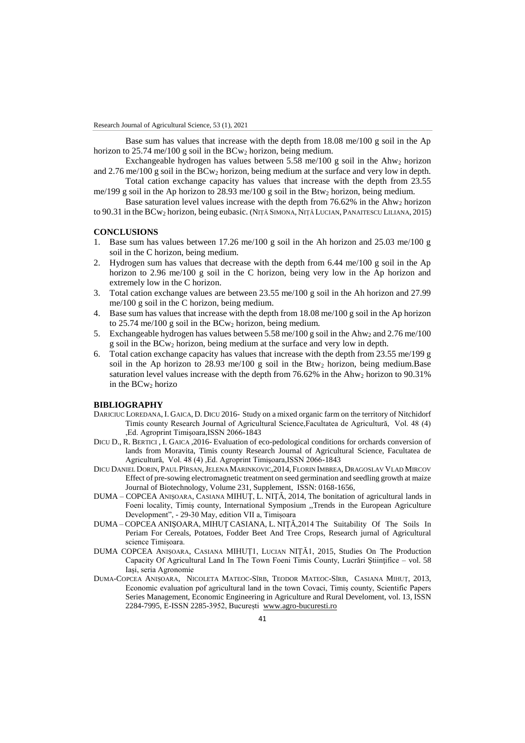Base sum has values that increase with the depth from 18.08 me/100 g soil in the Ap horizon to 25.74 me/100 g soil in the  $BCw_2$  horizon, being medium.

Exchangeable hydrogen has values between 5.58 me/100 g soil in the Ahw<sub>2</sub> horizon and  $2.76 \text{ me}/100 \text{ g}$  soil in the BCw<sub>2</sub> horizon, being medium at the surface and very low in depth.

Total cation exchange capacity has values that increase with the depth from 23.55 me/199 g soil in the Ap horizon to 28.93 me/100 g soil in the Btw<sup>2</sup> horizon, being medium.

Base saturation level values increase with the depth from  $76.62\%$  in the Ahw<sub>2</sub> horizon to 90.31 in the BCw<sup>2</sup> horizon, being eubasic. (NIŢĂ SIMONA, NIŢĂ LUCIAN, PANAITESCU LILIANA, 2015)

### **CONCLUSIONS**

- 1. Base sum has values between 17.26 me/100 g soil in the Ah horizon and 25.03 me/100 g soil in the C horizon, being medium.
- Hydrogen sum has values that decrease with the depth from  $6.44 \text{ me}/100 \text{ g}$  soil in the Ap horizon to 2.96 me/100 g soil in the C horizon, being very low in the Ap horizon and extremely low in the C horizon.
- 3. Total cation exchange values are between 23.55 me/100 g soil in the Ah horizon and 27.99 me/100 g soil in the C horizon, being medium.
- 4. Base sum has values that increase with the depth from 18.08 me/100 g soil in the Ap horizon to  $25.74$  me/100 g soil in the BCw<sub>2</sub> horizon, being medium.
- 5. Exchangeable hydrogen has values between 5.58 me/100 g soil in the Ahw<sub>2</sub> and 2.76 me/100 g soil in the BCw<sup>2</sup> horizon, being medium at the surface and very low in depth.
- 6. Total cation exchange capacity has values that increase with the depth from 23.55 me/199 g soil in the Ap horizon to 28.93 me/100 g soil in the Btw<sub>2</sub> horizon, being medium. Base saturation level values increase with the depth from  $76.62\%$  in the Ahw<sub>2</sub> horizon to 90.31% in the  $BCw<sub>2</sub>$  horizo

# **BIBLIOGRAPHY**

- DARICIUC LOREDANA, I. GAICA, D. DICU 2016- Study on a mixed organic farm on the territory of Nitchidorf Timis county Research Journal of Agricultural Science,Facultatea de Agricultură, Vol. 48 (4) ,Ed. Agroprint Timişoara,ISSN 2066-1843
- DICU D., R. BERTICI , I. GAICA ,2016- Evaluation of eco-pedological conditions for orchards conversion of lands from Moravita, Timis county Research Journal of Agricultural Science, Facultatea de Agricultură, Vol. 48 (4) ,Ed. Agroprint Timişoara,ISSN 2066-1843
- DICU DANIEL DORIN, PAUL PÎRSAN,JELENA MARINKOVIC,2014, FLORIN IMBREA, DRAGOSLAV VLAD MIRCOV Effect of pre-sowing electromagnetic treatment on seed germination and seedling growth at maize Journal of Biotechnology, Volume 231, Supplement, ISSN: 0168-1656,
- DUMA COPCEA ANIŞOARA, CASIANA MIHUŢ, L. NIŢĂ, 2014, The bonitation of agricultural lands in Foeni locality, Timiş county, International Symposium ,,Trends in the European Agriculture Development", - 29-30 May, edition VII a, Timișoara
- DUMA COPCEA ANIŞOARA, MIHUŢ CASIANA, L. NIŢĂ,2014 The Suitability Of The Soils In Periam For Cereals, Potatoes, Fodder Beet And Tree Crops, Research jurnal of Agricultural science Timișoara.
- DUMA COPCEA ANIȘOARA, CASIANA MIHUȚ1, LUCIAN NIȚĂ1, 2015, Studies On The Production Capacity Of Agricultural Land In The Town Foeni Timis County, Lucrări Ştiinţifice – vol. 58 Iași, seria Agronomie
- DUMA-COPCEA ANIȘOARA, NICOLETA MATEOC-SÎRB, TEODOR MATEOC-SÎRB, CASIANA MIHUȚ, 2013, Economic evaluation pof agricultural land in the town Covaci, Timiș county, Scientific Papers Series Management, Economic Engineering in Agriculture and Rural Develoment, vol. 13, ISSN 2284-7995, E-ISSN 2285-3952, București [www.agro-bucuresti.ro](http://www.agro-bucuresti.ro/)